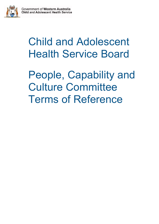

# Child and Adolescent Health Service Board

People, Capability and Culture Committee Terms of Reference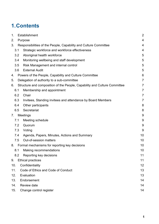## **1.Contents**

| 1.  |                        | Establishment                                                             |                 |  |  |  |
|-----|------------------------|---------------------------------------------------------------------------|-----------------|--|--|--|
| 2.  |                        | Purpose                                                                   |                 |  |  |  |
| 3.  |                        | Responsibilities of the People, Capability and Culture Committee          | 4               |  |  |  |
|     | 3.1                    | Strategic workforce and workforce effectiveness                           | 4               |  |  |  |
|     | 3.2                    | Aboriginal health workforce                                               | 5               |  |  |  |
|     | 3.4                    | Monitoring wellbeing and staff development                                | 5               |  |  |  |
|     | 3.5                    | Risk Management and internal control                                      | 5               |  |  |  |
|     | 3.6                    | <b>External Audit</b>                                                     | 5               |  |  |  |
| 4.  |                        | Powers of the People, Capability and Culture Committee                    | $6\phantom{1}6$ |  |  |  |
| 5.  |                        | Delegation of authority to a sub-committee                                | $\overline{7}$  |  |  |  |
| 6.  |                        | Structure and composition of the People, Capability and Culture Committee | $\overline{7}$  |  |  |  |
|     | 6.1                    | Membership and appointment                                                | $\overline{7}$  |  |  |  |
|     | 6.2                    | Chair                                                                     | $\overline{7}$  |  |  |  |
|     | 6.3                    | Invitees, Standing invitees and attendance by Board Members               | $\overline{7}$  |  |  |  |
|     | 6.4                    | Other participants                                                        | 8               |  |  |  |
|     | 6.5                    | Secretariat                                                               | 8               |  |  |  |
| 7.  | <b>Meetings</b>        |                                                                           | 9               |  |  |  |
|     | 7.1                    | Meeting schedule                                                          | 9               |  |  |  |
|     | 7.2                    | Quorum                                                                    | 9               |  |  |  |
|     | 7.3                    | Voting                                                                    | 9               |  |  |  |
|     | 7.4                    | Agenda, Papers, Minutes, Actions and Summary                              | 10              |  |  |  |
|     | 7.5                    | Out-of-session matters                                                    | 10              |  |  |  |
|     | 8.                     | Formal mechanisms for reporting key decisions                             | 10              |  |  |  |
|     | 8.1                    | Making recommendations                                                    | 10              |  |  |  |
|     | 8.2                    | Reporting key decisions                                                   | 11              |  |  |  |
| 9.  |                        | <b>Ethical practices</b>                                                  | 11              |  |  |  |
|     | 10.<br>Confidentiality |                                                                           | 12              |  |  |  |
| 11. |                        | Code of Ethics and Code of Conduct                                        | 13              |  |  |  |
| 12. |                        | Evaluation                                                                | 13              |  |  |  |
| 13. |                        | Endorsement                                                               |                 |  |  |  |
| 14. |                        | Review date                                                               |                 |  |  |  |
|     | 15.                    | Change control register                                                   | 14              |  |  |  |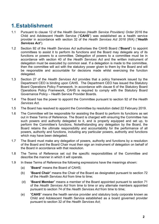## <span id="page-2-0"></span>**1.Establishment**

- 1.1 Pursuant to clause 12 of the *Health Services (Health Service Providers) Order* 2016 the Child and Adolescent Health Service ("**CAHS**") was established as a health service provider in accordance with section 32 of the *Health Services Act 2016* (WA) ("*Health Services Act*").
- 1.2 Section 92 of the *Health Services Act* authorises the CAHS Board ("**Board**") to appoint committees to assist it to perform its functions and the Board may delegate any of its functions or powers to a committee. Delegation of powers to a committee must be in accordance with section 40 of the *Health Services Act* and the written instrument of delegation must be executed by common seal. If a delegation is made to the committee, then the committee will act with the statutory power given to them by the Board and will be responsible and accountable for decisions made whilst exercising the function delegated.
- 1.3 Section 27 of the *Health Services Act* provides that a policy framework issued by the Department CEO is binding upon CAHS. The Department CEO has issued the Statutory Board Operations Policy Framework. In accordance with clause 6 of the Statutory Board Operations Policy Framework, CAHS is required to comply with the Statutory Board Governance Policy – Health Service Provider Boards.
- 1.4 The Board has the power to appoint the Committee pursuant to section 92 of the *Health Services Act*.
- 1.5 The Board has resolved to appoint the Committee by resolution dated 22 February 2019.
- 1.6 The Committee will be responsible for assisting the Board to perform its functions as set out in these Terms of Reference. The Board is charged with ensuring the Committee has such powers and authority delegated to it, and is properly equipped and set up, to perform the Committee's functions. Notwithstanding any delegation by the Board, the Board retains the ultimate responsibility and accountability for the performance of all powers, authority and functions, including any particular powers, authority and functions which may have been delegated.
- 1.7 The Board must make any delegation of powers, authority and functions by a resolution of the Board and the Board Chair must then sign an instrument of delegation on behalf of the Board in accordance with that resolution.
- 1.8 The Terms of Reference set out the specific responsibilities of the Committee and describe the manner in which it will operate.
- 1.9 In these Terms of Reference the following expressions have the meanings shown:
	- (a) "**Board**" means the Board of CAHS;
	- (b) "**Board Chair**" means the Chair of the Board as designated pursuant to section 72 of the *Health Services Act* from time to time;
	- (d) "**Board Member**" means a member of the Board appointed pursuant to section 71 of the *Health Services Act* from time to time or any alternate members appointed pursuant to section 74 of the *Health Services Act* from time to time;
	- (e) "**CAHS**" means the health service provider and statutory body corporate known as Child and Adolescent Health Service established as a board governed provider pursuant to section 32 of the *Health Services Act*;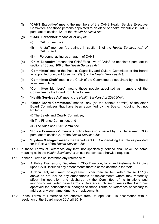- (f) "**CAHS Executive**" means the members of the CAHS Health Service Executive Committee and those persons appointed to an office of health executive in CAHS pursuant to section 121 of the *Health Services Act*.
- (g) "**CAHS Personnel**" means all or any of:
	- (i) CAHS Executive;
	- (ii) A staff member (as defined in section 6 of the *Health Services Act*) of CAHS; and
	- (iii) Personnel acting as an agent of CAHS;
- (h) "**Chief Executive**" means the Chief Executive of CAHS as appointed pursuant to sections 106 and 108 of the *Health Services Act*;
- (i) "**Committee**" means the People, Capability and Culture Committee of the Board as appointed pursuant to section 92(1) of the *Health Services Act*;
- (j) "**Committee Chair**" means the Chair of the Committee as appointed by the Board from time to time;
- (k) "**Committee Members**" means those people appointed as members of the Committee by the Board from time to time:
- (l) "**Health Services Act**" means the *Health Services Act 2016* (WA);
- (m) "**Other Board Committees**" means any (as the context permits) of the other Board Committees that have been appointed by the Board, including, but not limited to:
	- (i) The Safety and Quality Committee;
	- (ii) The Finance Committee, and
	- (iii) The Audit and Risk Committee.
- (n) "**Policy Framework**" means a policy framework issued by the Department CEO pursuant to section 27 of the *Health Services Act*;
- (o) "**System Manager**" means the Department CEO undertaking the role as provided for in Part 3 of the *Health Services Act*.
- 1.10 In these Terms of Reference any term not specifically defined shall have the same meaning as in the *Health Services Act* unless the context otherwise requires.
- 1.11 In these Terms of Reference any reference to:
	- (a) A Policy Framework, Department CEO Direction, laws and instruments binding upon CAHS includes any amendments thereto or replacements thereof;
	- (b) A document, instrument or agreement other than an item within clause 1.11(a) above do not include any amendments or replacements where they materially affect the operation and discharge by the Committee of its functions and responsibilities under these Terms of Reference until such time as the Board has approved the consequential changes to these Terms of Reference necessary to address any such amendments or replacements.
- 1.12 These Terms of Reference are effective from 26 April 2019 in accordance with a resolution of the Board made 26 April 2019.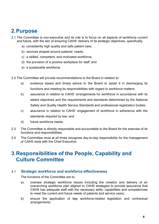### <span id="page-4-0"></span>**2.Purpose**

- 2.1 The Committee is non-executive and its role is to focus on all aspects of workforce current and future, with the aim of ensuring CAHS' delivery of its strategic objectives, specifically:
	- a) consistently high quality and safe patient care;
	- b) services shaped around patients' needs;
	- c) a skilled, competent, and motivated workforce;
	- d) the provision of a positive workplace for staff; and
	- e) a sustainable workforce.
- 2.2 The Committee will provide recommendations to the Board in relation to:
	- a) evidence based and timely advice to the Board to assist it in discharging its functions and meeting its responsibilities with regard to workforce matters;
	- b) assurance in relation to CAHS' arrangements for workforce in accordance with its stated objectives and the requirements and standards determined by the National Safety and Quality Health Service Standards and professional registration bodies;
	- c) assurance in relation to CAHS' engagement of workforce in adherence with the standards required by law; and
	- d) future workforce needs.
- 2.3 The Committee is directly responsible and accountable to the Board for the exercise of its functions and responsibilities.
- 2.4 The Committee must at all times recognise day-to-day responsibility for the management of CAHS rests with the Chief Executive.

### <span id="page-4-1"></span>**3.Responsibilities of the People, Capability and Culture Committee**

#### <span id="page-4-2"></span>3.1 **Strategic workforce and workforce effectiveness**

The functions of the Committee are to:

- a) oversee strategic workforce issues including the creation and delivery of an overarching workforce plan aligned to CAHS strategies to provide assurance that CAHS has adequate staff with the necessary skills, capabilities and competencies to meet the current and future needs of patients and service users;
- b) ensure the application of key workforce-related legislation and contractual arrangements;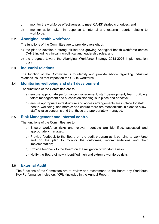- c) monitor the workforce effectiveness to meet CAHS' strategic priorities; and
- d) monitor action taken in response to internal and external reports relating to workforce.

#### <span id="page-5-0"></span>3.2 **Aboriginal health workforce**

The functions of the Committee are to provide oversight of:

- a) the plan to develop a strong, skilled and growing Aboriginal health workforce across CAHS including clinical, non-clinical and leadership roles; and
- b) the progress toward the Aboriginal Workforce Strategy 2018-2026 implementation plan.

#### 3.3 **Industrial relations**

The function of the Committee is to identify and provide advice regarding industrial relations issues that impact on the CAHS workforce.

#### <span id="page-5-1"></span>3.4 **Monitoring wellbeing and staff development**

The functions of the Committee are to:

- a) ensure appropriate performance management, staff development, team building, talent management and succession planning is in place and effective;
- b) ensure appropriate infrastructure and access arrangements are in place for staff health, wellbeing, and morale; and ensure there are mechanisms in place to allow staff to raise concerns and that these are appropriately managed.

### <span id="page-5-2"></span>3.5 **Risk Management and internal control**

The functions of the Committee are to:

- a) Ensure workforce risks and relevant controls are identified, assessed and appropriately managed;
- b) Provide feedback to the Board on the audit program as it pertains to workforce and on the plan to monitor the outcomes, recommendations and their implementation;
- c) Provide feedback to the Board on the mitigation of workforce risks;
- d) Notify the Board of newly identified high and extreme workforce risks.

### <span id="page-5-3"></span>3.6 **External Audit**

The functions of the Committee are to review and recommend to the Board any Workforce Key Performance Indicators (KPIs) included in the Annual Report.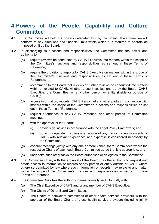### <span id="page-6-0"></span>**4.Powers of the People, Capability and Culture Committee**

- 4.1 The Committee will hold the powers delegated to it by the Board. The Committee will conform to any directions and financial limits within which it is required to operate as imposed on it by the Board.
- 4.2 In discharging its functions and responsibilities, the Committee has the power and authority to:
	- (a) require reviews be conducted by CAHS Executive into matters within the scope of the Committee's functions and responsibilities as set out in these Terms of Reference;
	- (b) require the provision of reports by CAHS Executive on matters within the scope of the Committee's functions and responsibilities as set out in these Terms of Reference;
	- (c) recommend to the Board that reviews or further reviews be conducted into matters within or related to CAHS, whether those investigations be by the Board, CAHS Executive, the Committee, or any other person or entity (inside or outside of CAHS);
	- (d) access information, records, CAHS Personnel and other parties in connection with matters within the scope of the Committee's functions and responsibilities as set out in these Terms of Reference;
	- (e) request attendance of any CAHS Personnel and other parties, at Committee meetings;
	- (f) with the approval of the Board:
		- (i) obtain legal advice in accordance with the Legal Policy Framework; and
		- (ii) obtain independent professional advice of any person or entity outside of CAHS with relevant experience and expertise if considered necessary by the Committee;
	- (g) conduct meetings jointly with any one or more Other Board Committees where the respective Chairs of each such Board Committee agree that it is appropriate; and
	- (h) undertake such other tasks the Board authorises or delegates to the Committee.
- 4.3 The Committee Chair, with the approval of the Board, has the authority to request and obtain access to information or records of any person or entity outside of CAHS where otherwise permitted by law where such information or records may relate to any matter within the scope of the Committee's functions and responsibilities as set out in these Terms of Reference.
- 4.4 The Committee Chair has the authority to meet formally and informally with:
	- (a) The Chief Executive of CAHS and/or any member of CAHS Executive;
	- (b) The Chairs of Other Board Committees;
	- (c) The Chairs of equivalent committees of other health services providers, with the approval of the Board Chairs of those health service providers (including jointly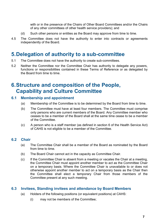with or in the presence of the Chairs of Other Board Committees and/or the Chairs of any other committees of other health service providers); and

- (d) Such other persons or entities as the Board may approve from time to time.
- 4.5 The Committee does not have the authority to enter into contracts or agreements independently of the Board.

### <span id="page-7-0"></span>**5.Delegation of authority to a sub-committee**

- 5.1 The Committee does not have the authority to create sub-committees.
- 5.2 Neither the Committee nor the Committee Chair has authority to delegate any powers, functions or responsibilities contained in these Terms of Reference or as delegated by the Board from time to time.

### <span id="page-7-1"></span>**6.Structure and composition of the People, Capability and Culture Committee**

### <span id="page-7-2"></span>**6.1 Membership and appointment**

- (a) Membership of the Committee is to be determined by the Board from time to time.
- (b) The Committee must have at least four members. The Committee must comprise only persons who are current members of the Board. Any Committee member who ceases to be a member of the Board shall at the same time cease to be a member of the Committee.
- (c) A person who is a staff member (as defined in section 6 of the Health Service Act) of CAHS is not eligible to be a member of the Committee.

### <span id="page-7-3"></span>**6.2 Chair**

- (a) The Committee Chair shall be a member of the Board as nominated by the Board from time to time.
- (b) The Board Chair cannot act in the capacity as Committee Chair.
- (c) If the Committee Chair is absent from a meeting or vacates the Chair at a meeting, the Committee Chair must appoint another member to act as the Committee Chair on a temporary basis. Where the Committee Chair is unavailable to or does not otherwise appoint another member to act on a temporary basis as the Chair then the Committee shall elect a temporary Chair from those members of the Committee present at any such meeting.

#### <span id="page-7-4"></span>**6.3 Invitees, Standing invitees and attendance by Board Members**

- (a) Holders of the following positions (or equivalent positions) at CAHS:
	- (i) may not be members of the Committee;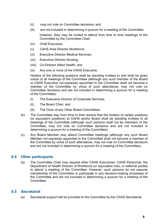- (ii) may not vote on Committee decisions; and
- (iii) are not included in determining a quorum for a meeting of the Committee, however, they may be invited to attend from time to time meetings of the Committee by the Committee Chair:
- (iv) Chief Executive;
- (v) CAHS Area Director Workforce;
- (vi) Executive Director Medical Services;
- (vii) Executive Director Nursing;
- (viii) Co-Director Allied Health; and
- (ix) Any one or more of the CAHS Executive.

Holders of the following positions shall be standing invitees to and shall be given notice of all meetings of the Committee (although any such member of the Board or CAHS Executive not expressly appointed to the Committee shall not become a member of the Committee by virtue of such attendance, may not vote on Committee decisions and are not included in determining a quorum for a meeting of the Committee):

- (i) The Executive Director of Corporate Services;
- (ii) The Board Chair; and
- (iii) The Chair of any Other Board Committees.
- (b) The Committee may from time to time resolve that the holders of certain positions (or equivalent positions) at CAHS and/or Board shall be standing invitees to all meetings of the Committee (although such persons shall not be members of the Committee, may not vote on Committee decisions and are not included in determining a quorum for a meeting of the Committee).
- (c) Any Board Member may attend Committee meetings (although any such Board Member not expressly appointed to the Committee shall not become a member of the Committee by virtue of such attendance, may not vote on Committee decisions and are not included in determining a quorum for a meeting of the Committee).

### <span id="page-8-0"></span>**6.4 Other participants**

(a) The Committee Chair may request other CAHS Executives, CAHS Personnel, the Department of Health Director of Workforce (or equivalent role), or external parties to attend a meeting of the Committee. However, such persons do not assume membership of the Committee or participate in any decision-making processes of the Committee and are not included in determining a quorum for a meeting of the Committee.

### <span id="page-8-1"></span>**6.5 Secretariat**

(a) Secretariat support will be provided to the Committee by the CAHS Secretariat.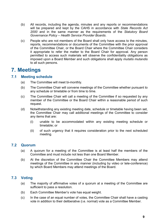- (b) All records, including the agenda, minutes and any reports or recommendations will be prepared and kept by the CAHS in accordance with *State Records Act 2000* and in the same manner as the requirements of the *Statutory Board Governance Policy – Health Service Provider Boards*.
- (c) People who are not members of the Board shall only have access to the minutes, reports, recommendations or documents of the Committee with the prior approval of the Committee Chair, or the Board Chair where the Committee Chair considers it appropriate to refer the matter to the Board Chair for approval. Any person permitted to access such materials will observe the confidentiality obligations as imposed upon a Board Member and such obligations shall apply *mutatis mutandis* to all such persons.

### <span id="page-9-0"></span>**7. Meetings**

#### <span id="page-9-1"></span>**7.1 Meeting schedule**

- (a) The Committee will meet bi-monthly.
- (b) The Committee Chair will convene meetings of the Committee whether pursuant to any schedule or timetable or from time to time.
- (c) The Committee Chair will call a meeting of the Committee if so requested by any member of the Committee or the Board Chair within a reasonable period of such request.
- (d) Notwithstanding any existing meeting date, schedule or timetable having been set, the Committee Chair may call additional meetings of the Committee to consider any items that are:
	- (i) unable to be accommodated within any existing meeting schedule or timetable; or
	- (ii) of such urgency that it requires consideration prior to the next scheduled meeting.

### <span id="page-9-2"></span>**7.2 Quorum**

- (a) A quorum for a meeting of the Committee is at least half the members of the Committee and must include not less than one Board Member.
- (b) At the discretion of the Committee Chair the Committee Members may attend meetings of the Committee in any manner (including by video or tele-conference) by which Board Members may attend meetings of the Board.

### <span id="page-9-3"></span>**7.3 Voting**

- (a) The majority of affirmative votes of a quorum at a meeting of the Committee are sufficient to pass a resolution.
- (b) Each Committee Member's vote has equal weight.
- (c) In the case of an equal number of votes, the Committee Chair shall have a casting vote in addition to their deliberative (i.e. normal) vote as a Committee Member.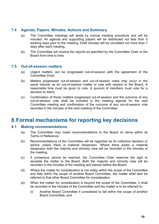#### <span id="page-10-0"></span>**7.4 Agenda, Papers, Minutes, Actions and Summary**

- (a) The Committee meetings will abide by normal meeting procedure and will be minuted. An agenda and supporting papers will be distributed not less than 5 working days prior to the meeting. Draft minutes will be circulated not more than 7 days after each meeting.
- (b) The Committee will receive the reports as specified by the Committee Chair or the Board from time to time.

#### <span id="page-10-1"></span>**7.5 Out-of-session matters**

- (a) Urgent matters can be progressed out-of-session with the agreement of the Committee Chair.
- (b) Matters progressed out-of-session and out-of-session votes may occur in the same manner as an out-of-session matter or vote with respect to the Board. A reasonable time must be given to vote. A quorum of members must vote for a decision to stand.
- (c) Confirmation of those matters progressed out-of-session and the outcome of any out-of-session vote shall be included in the meeting agenda for the next Committee meeting and confirmation of the outcome of any out-of-session vote recorded in the minutes of the next meeting of the Committee.

### <span id="page-10-2"></span>**8.Formal mechanisms for reporting key decisions**

#### <span id="page-10-3"></span>**8.1 Making recommendations**

- (a) The Committee may make recommendations to the Board on items within its Terms of Reference.
- (b) Recommendations of the Committee will be regarded as its collective decision or advice unless there is material dissension. Where there exists a material dissension both the majority and minority view will be recorded in the minutes of the meeting.
- (c) If consensus cannot be reached, the Committee Chair reserves the right to escalate the matter to the Board. Both the majority and minority view will be recorded in the minutes of the meeting and placed before the Board.
- (d) Where the matter for consideration is not solely within the scope of the Committee and falls within the scope of another Board Committee, the matter shall also be referred to that other Board Committee for consideration.
- (e) When the matter for consideration is beyond the scope of the Committee, it shall be recorded in the minutes of the Committee and the matter is to be referred to:
	- (i) Another Board Committee if considered to fall within the scope of another Board Committee; and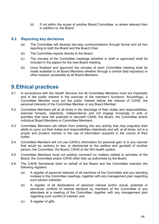(ii) If not within the scope of another Board Committee, or where relevant then in addition to, the Board.

### <span id="page-11-0"></span>**8.2 Reporting key decisions**

- (a) The Committee will develop two-way communications through formal and ad hoc reporting to both the Board and the Board Chair.
- (b) The Committee reports directly to the Board.
- (c) The minutes of the Committee meetings (whether in draft or approved) shall be included in the papers for the next Board meeting.
- (d) Once finalised and approved the minutes of each Committee meeting shall be made available to all Board Members whether through a central data repository or other medium accessible by all Board Members.

### <span id="page-11-1"></span>**9.Ethical practices**

- 9.1 In accordance with the *Health Services Act* all Committee Members must act impartially and in the public interest in the exercise of the member's functions. Accordingly, a Committee Member must put the public interest before the interest of CAHS, the personal interests of the Committee Member or any Board Member.
- 9.2 Committee Members will at all times in the discharge of their duties and responsibilities, exercise honesty, objectivity, independence and not engage knowingly in acts or activities that have the potential to discredit CAHS, the Board, the Committee and/or individual Board Members or Committee Members.
- 9.3 Committee Members will refrain from entering into any activity that may prejudice their ability to carry out their duties and responsibilities objectively and will, at all times, act in a proper and prudent manner in the use of information acquired in the course of their duties.
- 9.4 Committee Members will not use CAHS's information for personal gain or in any manner that would be contrary to law, or detrimental to the welfare and goodwill of another person, the Committee, the Board, CAHS or the WA health system.
- 9.5 Committee Members must not publicly comment on matters related to activities of the Board, the Committee and/or CAHS other than as authorised by the Board.
- 9.6 The CAHS Secretariat shall on behalf of the Board and the Committee maintain the following registers:
	- (a) A register of personal interests of all members of the Committee and any standing invitees to the Committee meetings, together with any management plan regarding such person interests;
	- (b) A register of all declarations of personal interest and/or actual, potential or perceived conflicts of interest declared by members of the Committee or any attendees at a meeting of the Committee, together with any management plan regarding such conflict of interest; and
	- (c) A register of gifts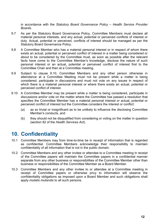in accordance with the *Statutory Board Governance Policy – Health Service Provider Boards.*

- 9.7 As per the Statutory Board Governance Policy, Committee Members must declare all material personal interests, and any actual, potential or perceived conflicts of interest or duty. Actual, potential or perceived, conflicts of interest should be managed as per the Statutory Board Governance Policy.
- 9.8 A Committee Member who has a material personal interest or in respect of whom there exists an actual, potential or perceived conflict of interest in a matter being considered or about to be considered by the Committee must, as soon as possible after the relevant facts have come to the Committee Member's knowledge, disclose the nature of such personal interest or an actual, potential or perceived conflict of interest first to the Committee Chair and then at a Committee meeting.
- 9.9 Subject to clause 9.10, Committee Members and any other person otherwise in attendance at a Committee Meeting must not be present while a matter is being considered, participate in discussions and must not vote on any issues in respect of which there is a material personal interest or where there exists an actual, potential or perceived conflict of interest.
- 9.10 A Committee Member may be present while a matter is being considered, participate in discussions and/or vote on the matter where the Committee has passed a resolution that specifies the Committee Member has a material personal interest or actual, potential or perceived conflict of interest but the Committee considers the interest or conflict:
	- (a) as so trivial or insignificant as to be unlikely to influence the disclosing Committee Member's conducts, and
	- (b) they should not be disqualified from considering or voting on the matter in question (section 82 of the *Health Services Act*).

### <span id="page-12-0"></span>**10. Confidentiality**

- 10.1 Committee Members may from time-to-time be in receipt of information that is regarded as confidential. Committee Members acknowledge their responsibility to maintain confidentiality of all information that is not in the public domain.
- 10.2 Committee Members and any other invitee or attendee to a Committee meeting in receipt of the Committee papers will maintain the Committee papers in a confidential manner separate from any other business or responsibilities of the Committee Member other than business or responsibilities of the Committee Member as a Board Member.
- 10.3 Committee Members and any other invitee to or attendee at a Committee meeting in receipt of Committee papers or otherwise privy to information will observe the confidentiality obligations as imposed upon a Board Member and such obligations shall apply *mutatis mutandis* to all such persons.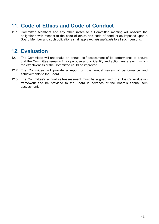### <span id="page-13-0"></span>**11. Code of Ethics and Code of Conduct**

11.1 Committee Members and any other invitee to a Committee meeting will observe the obligations with respect to the code of ethics and code of conduct as imposed upon a Board Member and such obligations shall apply *mutatis mutandis* to all such persons.

### <span id="page-13-1"></span>**12. Evaluation**

- 12.1 The Committee will undertake an annual self-assessment of its performance to ensure that the Committee remains fit for purpose and to identify and action any areas in which the effectiveness of the Committee could be improved.
- 12.2 The Committee will provide a report on the annual review of performance and achievements to the Board.
- 12.3 The Committee's annual self-assessment must be aligned with the Board's evaluation framework and be provided to the Board in advance of the Board's annual selfassessment.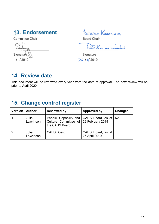### <span id="page-14-0"></span>13. Endorsement

Committee Chair

q Signatur  $1/2019$ 

**BEBBIE KARASINSKI** 

Board Chair

DON.

Signature  $26/4/2019$ 

### <span id="page-14-1"></span>**14. Review date**

This document will be reviewed every year from the date of approval. The next review will be prior to April 2020.

### <span id="page-14-2"></span>**15. Change control register**

| Version | <b>Author</b>      | <b>Reviewed by</b>                                                                                         | Approved by                        | <b>Changes</b> |
|---------|--------------------|------------------------------------------------------------------------------------------------------------|------------------------------------|----------------|
|         | Julia<br>Lawrinson | People, Capability and   CAHS Board, as at   NA<br>Culture Committee of 22 February 2019<br>the CAHS Board |                                    |                |
|         | Julia<br>Lawrinson | <b>CAHS Board</b>                                                                                          | CAHS Board, as at<br>26 April 2019 |                |